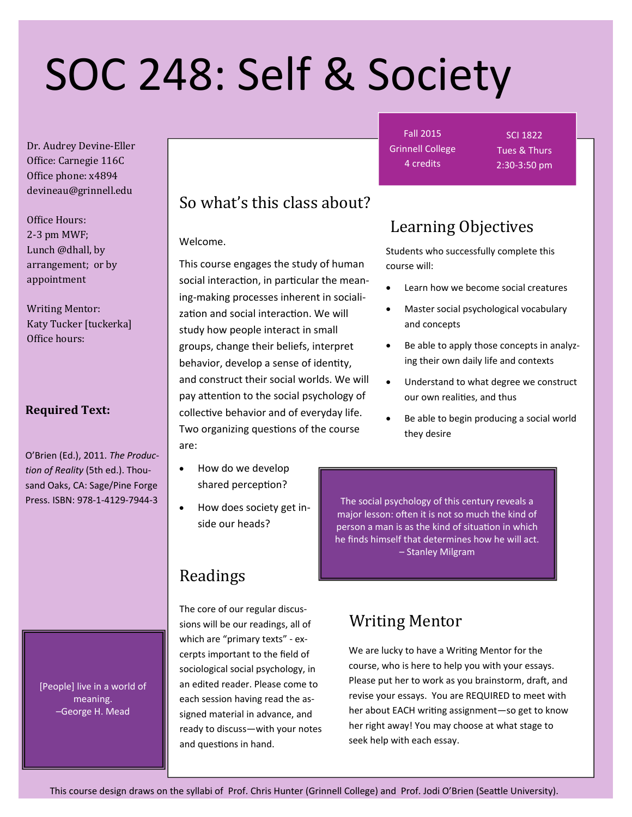# SOC 248: Self & Society

Dr. Audrey Devine-Eller Office: Carnegie 116C Office phone: x4894 devineau@grinnell.edu 

Office Hours:  $2-3$  pm MWF: Lunch @dhall, by arrangement; or by appointment 

Writing Mentor: Katy Tucker [tuckerka] Office hours:

#### **Required Text:**

O'Brien (Ed.), 2011. *The Produc‐ tion of Reality* (5th ed.). Thou‐ sand Oaks, CA: Sage/Pine Forge Press. ISBN: 978‐1‐4129‐7944‐3

> [People] live in a world of meaning. –George H. Mead

# So what's this class about?

Welcome.

This course engages the study of human social interaction, in particular the meaning‐making processes inherent in sociali‐ zation and social interaction. We will study how people interact in small groups, change their beliefs, interpret behavior, develop a sense of identity, and construct their social worlds. We will pay attention to the social psychology of collective behavior and of everyday life. Two organizing questions of the course are:

- How do we develop shared perception?
- How does society get inside our heads?

# Readings

The core of our regular discus‐ sions will be our readings, all of which are "primary texts" - excerpts important to the field of sociological social psychology, in an edited reader. Please come to each session having read the as‐ signed material in advance, and ready to discuss—with your notes and questions in hand.

Fall 2015 Grinnell College 4 credits

SCI 1822 Tues & Thurs 2:30‐3:50 pm

# Learning Objectives

Students who successfully complete this course will:

- Learn how we become social creatures
- Master social psychological vocabulary and concepts
- Be able to apply those concepts in analyz‐ ing their own daily life and contexts
- Understand to what degree we construct our own realities, and thus
- Be able to begin producing a social world they desire

The social psychology of this century reveals a major lesson: often it is not so much the kind of person a man is as the kind of situation in which he finds himself that determines how he will act. – Stanley Milgram

# Writing Mentor

We are lucky to have a Writing Mentor for the course, who is here to help you with your essays. Please put her to work as you brainstorm, draft, and revise your essays. You are REQUIRED to meet with her about EACH writing assignment-so get to know her right away! You may choose at what stage to seek help with each essay.

This course design draws on the syllabi of Prof. Chris Hunter (Grinnell College) and Prof. Jodi O'Brien (Seattle University).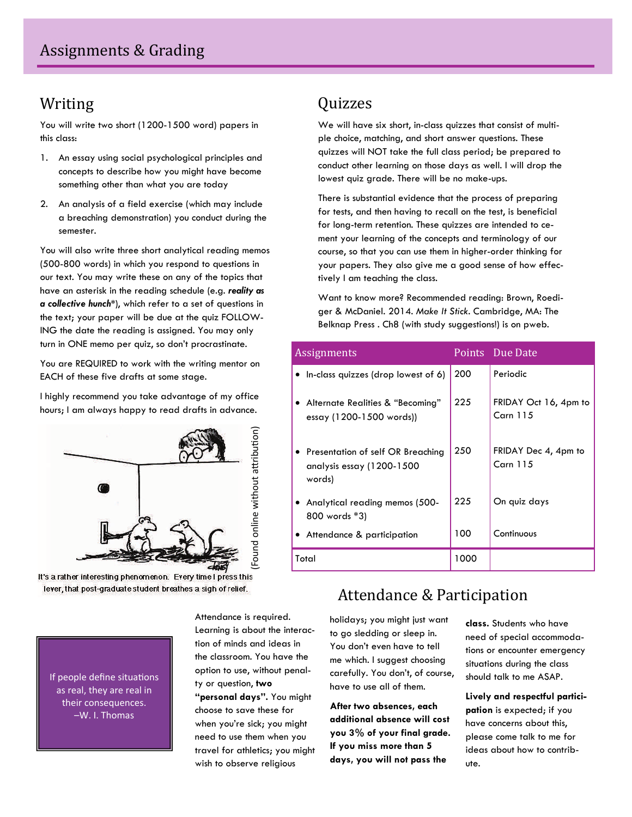## Writing

You will write two short (1200-1500 word) papers in this class:

- 1. An essay using social psychological principles and concepts to describe how you might have become something other than what you are today
- 2. An analysis of a field exercise (which may include a breaching demonstration) you conduct during the semester.

You will also write three short analytical reading memos (500-800 words) in which you respond to questions in our text. You may write these on any of the topics that have an asterisk in the reading schedule (e.g. *reality as a collective hunch\**), which refer to a set of questions in the text; your paper will be due at the quiz FOLLOW-ING the date the reading is assigned. You may only turn in ONE memo per quiz, so don't procrastinate.

You are REQUIRED to work with the writing mentor on EACH of these five drafts at some stage.

I highly recommend you take advantage of my office hours; I am always happy to read drafts in advance.



It's a rather interesting phenomenon. Every time I press this lever, that post-graduate student breathes a sigh of relief.

Quizzes 

We will have six short, in-class quizzes that consist of multiple choice, matching, and short answer questions. These quizzes will NOT take the full class period; be prepared to conduct other learning on those days as well. I will drop the lowest quiz grade. There will be no make-ups.

There is substantial evidence that the process of preparing for tests, and then having to recall on the test, is beneficial for long-term retention. These quizzes are intended to cement your learning of the concepts and terminology of our course, so that you can use them in higher-order thinking for your papers. They also give me a good sense of how effectively I am teaching the class.

Want to know more? Recommended reading: Brown, Roediger & McDaniel. 2014. *Make It Stick*. Cambridge, MA: The Belknap Press . Ch8 (with study suggestions!) is on pweb.

| Assignments |                                                                            |      | Points Due Date                   |
|-------------|----------------------------------------------------------------------------|------|-----------------------------------|
|             | • In-class quizzes (drop lowest of 6)                                      | 200  | Periodic                          |
|             | • Alternate Realities & "Becoming"<br>essay (1200-1500 words))             | 225  | FRIDAY Oct 16, 4pm to<br>Carn 115 |
|             | • Presentation of self OR Breaching<br>analysis essay (1200-1500<br>words) | 250  | FRIDAY Dec 4, 4pm to<br>Carn 115  |
|             | • Analytical reading memos (500-<br>800 words *3)                          | 225  | On quiz days                      |
|             | • Attendance & participation                                               | 100  | Continuous                        |
| Total       |                                                                            | 1000 |                                   |

# Attendance & Participation

holidays; you might just want to go sledding or sleep in. You don't even have to tell me which. I suggest choosing carefully. You don't, of course, have to use all of them.

**After two absences, each additional absence will cost you 3% of your final grade. If you miss more than 5 days, you will not pass the** 

**class.** Students who have need of special accommodations or encounter emergency situations during the class should talk to me ASAP.

**Lively and respectful participation** is expected; if you have concerns about this, please come talk to me for ideas about how to contribute.

If people define situations as real, they are real in their consequences. –W. I. Thomas

Attendance is required. Learning is about the interaction of minds and ideas in the classroom. You have the option to use, without penalty or question, **two "personal days".** You might choose to save these for when you're sick; you might need to use them when you travel for athletics; you might wish to observe religious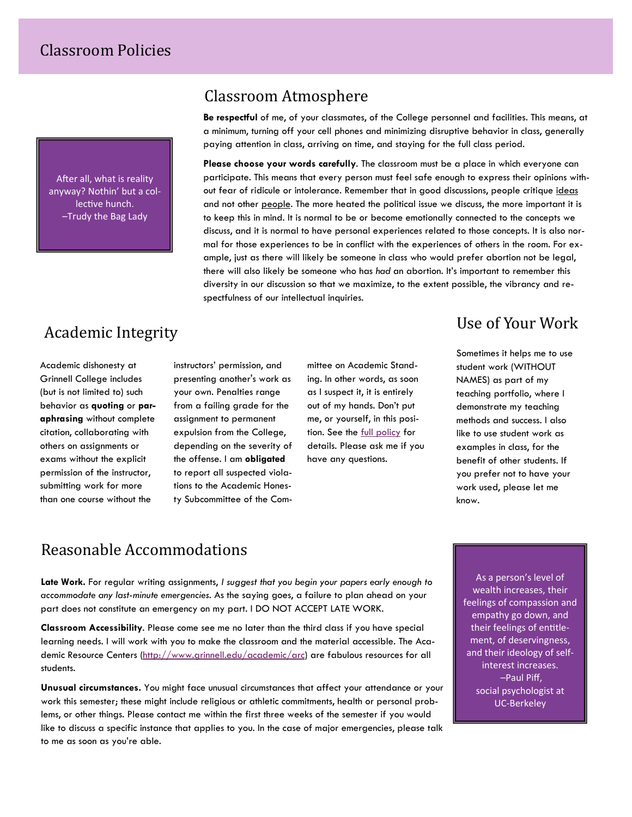After all, what is reality anyway? Nothin' but a col‐ lective hunch. –Trudy the Bag Lady

#### Classroom Atmosphere

**Be respectful** of me, of your classmates, of the College personnel and facilities. This means, at a minimum, turning off your cell phones and minimizing disruptive behavior in class, generally paying attention in class, arriving on time, and staying for the full class period.

**Please choose your words carefully**. The classroom must be a place in which everyone can participate. This means that every person must feel safe enough to express their opinions without fear of ridicule or intolerance. Remember that in good discussions, people critique ideas and not other people. The more heated the political issue we discuss, the more important it is to keep this in mind. It is normal to be or become emotionally connected to the concepts we discuss, and it is normal to have personal experiences related to those concepts. It is also normal for those experiences to be in conflict with the experiences of others in the room. For example, just as there will likely be someone in class who would prefer abortion not be legal, there will also likely be someone who has *had* an abortion. It's important to remember this diversity in our discussion so that we maximize, to the extent possible, the vibrancy and respectfulness of our intellectual inquiries.

## Academic Integrity

Academic dishonesty at Grinnell College includes (but is not limited to) such behavior as **quoting** or **paraphrasing** without complete citation, collaborating with others on assignments or exams without the explicit permission of the instructor, submitting work for more than one course without the

instructors' permission, and presenting another's work as your own. Penalties range from a failing grade for the assignment to permanent expulsion from the College, depending on the severity of the offense. I am **obligated** to report all suspected violations to the Academic Honesty Subcommittee of the Committee on Academic Standing. In other words, as soon as I suspect it, it is entirely out of my hands. Don't put me, or yourself, in this position. See the [full policy](https://www.grinnell.edu/node/25722) for details. Please ask me if you have any questions.

# Use of Your Work

Sometimes it helps me to use student work (WITHOUT NAMES) as part of my teaching portfolio, where I demonstrate my teaching methods and success. I also like to use student work as examples in class, for the benefit of other students. If you prefer not to have your work used, please let me know.

### Reasonable Accommodations

**Late Work.** For regular writing assignments, *I suggest that you begin your papers early enough to accommodate any last-minute emergencies.* As the saying goes, a failure to plan ahead on your part does not constitute an emergency on my part. I DO NOT ACCEPT LATE WORK.

**Classroom Accessibility**. Please come see me no later than the third class if you have special learning needs. I will work with you to make the classroom and the material accessible. The Aca-demic Resource Centers [\(http://www.grinnell.edu/academic/arc](http://www.grinnell.edu/academic/arc)) are fabulous resources for all students.

**Unusual circumstances.** You might face unusual circumstances that affect your attendance or your work this semester; these might include religious or athletic commitments, health or personal problems, or other things. Please contact me within the first three weeks of the semester if you would like to discuss a specific instance that applies to you. In the case of major emergencies, please talk to me as soon as you're able.

As a person's level of wealth increases, their feelings of compassion and empathy go down, and their feelings of entitlement, of deservingness, and their ideology of self‐ interest increases. –Paul Piff, social psychologist at UC‐Berkeley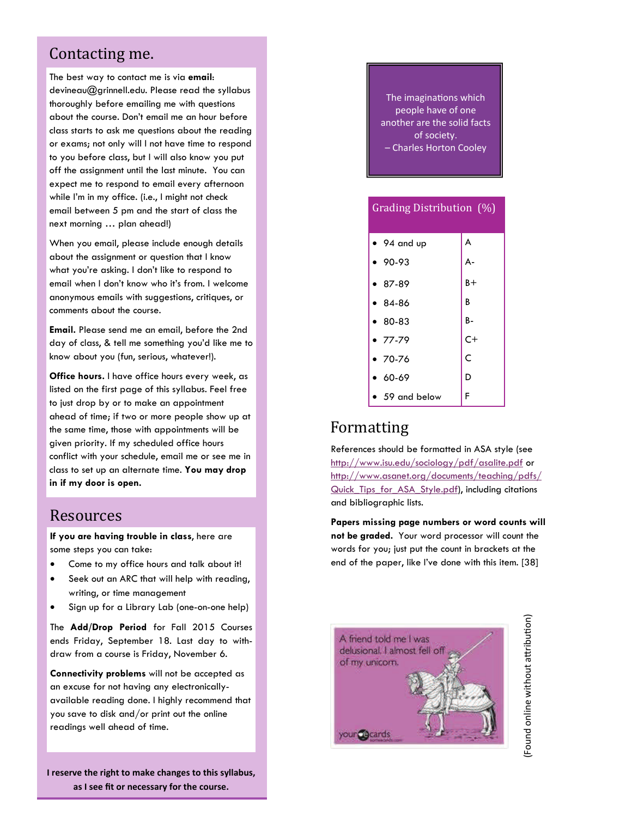#### Contacting me.

The best way to contact me is via **email**: devineau@grinnell.edu. Please read the syllabus thoroughly before emailing me with questions about the course. Don't email me an hour before class starts to ask me questions about the reading or exams; not only will I not have time to respond to you before class, but I will also know you put off the assignment until the last minute. You can expect me to respond to email every afternoon while I'm in my office. (i.e., I might not check email between 5 pm and the start of class the next morning … plan ahead!)

When you email, please include enough details about the assignment or question that I know what you're asking. I don't like to respond to email when I don't know who it's from. I welcome anonymous emails with suggestions, critiques, or comments about the course.

**Email.** Please send me an email, before the 2nd day of class, & tell me something you'd like me to know about you (fun, serious, whatever!).

**Office hours.** I have office hours every week, as listed on the first page of this syllabus. Feel free to just drop by or to make an appointment ahead of time; if two or more people show up at the same time, those with appointments will be given priority. If my scheduled office hours conflict with your schedule, email me or see me in class to set up an alternate time. **You may drop in if my door is open.**

#### Resources

**If you are having trouble in class**, here are some steps you can take:

- Come to my office hours and talk about it!
- Seek out an ARC that will help with reading, writing, or time management
- Sign up for a Library Lab (one-on-one help)

The **Add/Drop Period** for Fall 2015 Courses ends Friday, September 18. Last day to withdraw from a course is Friday, November 6.

**Connectivity problems** will not be accepted as an excuse for not having any electronicallyavailable reading done. I highly recommend that you save to disk and/or print out the online readings well ahead of time.

**I reserve the right to make changes to this syllabus, as I see fit or necessary for the course.**

The imaginations which people have of one another are the solid facts of society. – Charles Horton Cooley

| Grading Distribution $(\%)$ |       |  |  |  |  |  |
|-----------------------------|-------|--|--|--|--|--|
| $\bullet$ 94 and up         | A     |  |  |  |  |  |
| 90-93                       | А-    |  |  |  |  |  |
| 87-89                       | $B +$ |  |  |  |  |  |
| 84-86                       | B     |  |  |  |  |  |
| $80 - 83$                   | B-    |  |  |  |  |  |
| $-77-79$                    | $C+$  |  |  |  |  |  |
| ▼ 70-76                     | Ċ     |  |  |  |  |  |
| 60-69                       | D     |  |  |  |  |  |
| 59 and below                | F     |  |  |  |  |  |

## Formatting

References should be formatted in ASA style (see <http://www.isu.edu/sociology/pdf/asalite.pdf> or [http://www.asanet.org/documents/teaching/pdfs/](http://www.asanet.org/documents/teaching/pdfs/Quick_Tips_for_ASA_Style.pdf) [Quick\\_Tips\\_for\\_ASA\\_Style.pdf](http://www.asanet.org/documents/teaching/pdfs/Quick_Tips_for_ASA_Style.pdf)), including citations and bibliographic lists.

**Papers missing page numbers or word counts will not be graded.** Your word processor will count the words for you; just put the count in brackets at the end of the paper, like I've done with this item. [38]



(Found online without aƩribu Found online without attribution)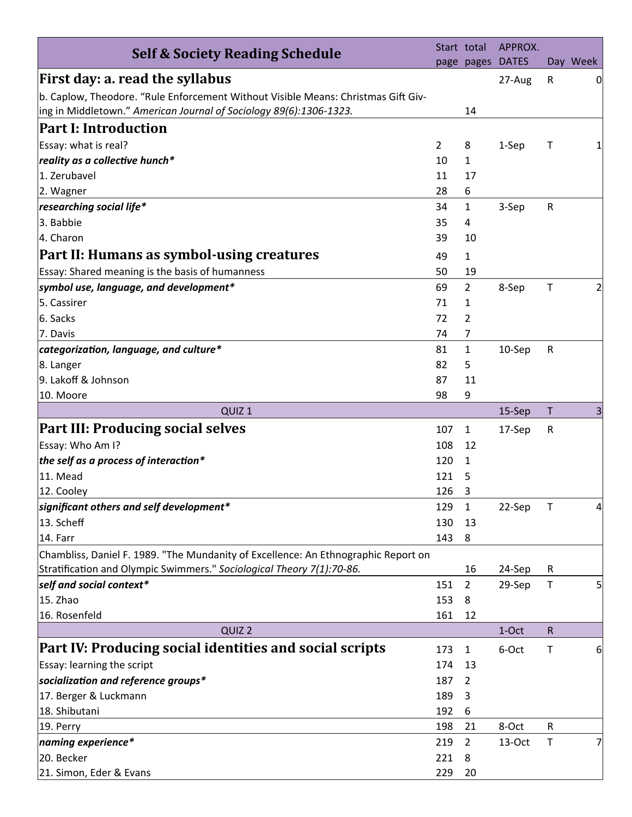| <b>Self &amp; Society Reading Schedule</b>                                         |                | Start total    | APPROX.      |              |                |
|------------------------------------------------------------------------------------|----------------|----------------|--------------|--------------|----------------|
|                                                                                    |                | page pages     | <b>DATES</b> |              | Day Week       |
| First day: a. read the syllabus                                                    |                |                | 27-Aug       | ${\sf R}$    | 0              |
| b. Caplow, Theodore. "Rule Enforcement Without Visible Means: Christmas Gift Giv-  |                |                |              |              |                |
| ing in Middletown." American Journal of Sociology 89(6):1306-1323.                 |                | 14             |              |              |                |
| <b>Part I: Introduction</b>                                                        |                |                |              |              |                |
| Essay: what is real?                                                               | $\overline{2}$ | 8              | 1-Sep        | Т            |                |
| reality as a collective hunch*                                                     | 10             | 1              |              |              |                |
| 1. Zerubavel                                                                       | 11             | 17             |              |              |                |
| 2. Wagner                                                                          | 28             | 6              |              |              |                |
| researching social life*                                                           | 34             | 1              | 3-Sep        | ${\sf R}$    |                |
| 3. Babbie                                                                          | 35             | 4              |              |              |                |
| 4. Charon                                                                          | 39             | 10             |              |              |                |
| Part II: Humans as symbol-using creatures                                          | 49             | $\mathbf{1}$   |              |              |                |
| Essay: Shared meaning is the basis of humanness                                    | 50             | 19             |              |              |                |
| symbol use, language, and development*                                             | 69             | $\overline{2}$ | 8-Sep        | T            | 21             |
| 5. Cassirer                                                                        | 71             | 1              |              |              |                |
| 6. Sacks                                                                           | 72             | 2              |              |              |                |
| 7. Davis                                                                           | 74             | 7              |              |              |                |
| categorization, language, and culture*                                             | 81             | 1              | 10-Sep       | ${\sf R}$    |                |
| 8. Langer                                                                          | 82             | 5              |              |              |                |
| 9. Lakoff & Johnson                                                                | 87             | 11             |              |              |                |
| 10. Moore                                                                          | 98             | 9              |              |              |                |
| QUIZ <sub>1</sub>                                                                  |                |                | 15-Sep       | т            | 3              |
| <b>Part III: Producing social selves</b>                                           | 107            | $\mathbf{1}$   | 17-Sep       | ${\sf R}$    |                |
| Essay: Who Am I?                                                                   | 108            | 12             |              |              |                |
| the self as a process of interaction*                                              | 120            | 1              |              |              |                |
| 11. Mead                                                                           | 121            | 5              |              |              |                |
| 12. Cooley                                                                         | 126            | 3              |              |              |                |
| significant others and self development*                                           | 129            | $\mathbf{1}$   | 22-Sep       | $\mathsf{T}$ | $\overline{4}$ |
| 13. Scheff                                                                         | 130            | 13             |              |              |                |
| 14. Farr                                                                           | 143            | 8              |              |              |                |
| Chambliss, Daniel F. 1989. "The Mundanity of Excellence: An Ethnographic Report on |                |                |              |              |                |
| Stratification and Olympic Swimmers." Sociological Theory 7(1):70-86.              |                | 16             | 24-Sep       | ${\sf R}$    |                |
| self and social context*                                                           | 151            | $\overline{2}$ | 29-Sep       | Τ            | 5              |
| 15. Zhao                                                                           | 153            | 8              |              |              |                |
| 16. Rosenfeld                                                                      | 161            | 12             |              |              |                |
| QUIZ <sub>2</sub>                                                                  |                |                | 1-Oct        | ${\sf R}$    |                |
| Part IV: Producing social identities and social scripts                            | 173            | $\mathbf{1}$   | 6-Oct        | Τ            | 6              |
| Essay: learning the script                                                         | 174            | 13             |              |              |                |
| socialization and reference groups*                                                | 187            | $\overline{2}$ |              |              |                |
| 17. Berger & Luckmann                                                              | 189            | 3              |              |              |                |
| 18. Shibutani                                                                      | 192            | 6              |              |              |                |
| 19. Perry                                                                          | 198            | 21             | 8-Oct        | R            |                |
| naming experience*                                                                 | 219            | $\overline{2}$ | $13-Oct$     | Τ            | 7              |
| 20. Becker                                                                         | 221            | 8              |              |              |                |
| 21. Simon, Eder & Evans                                                            | 229            | 20             |              |              |                |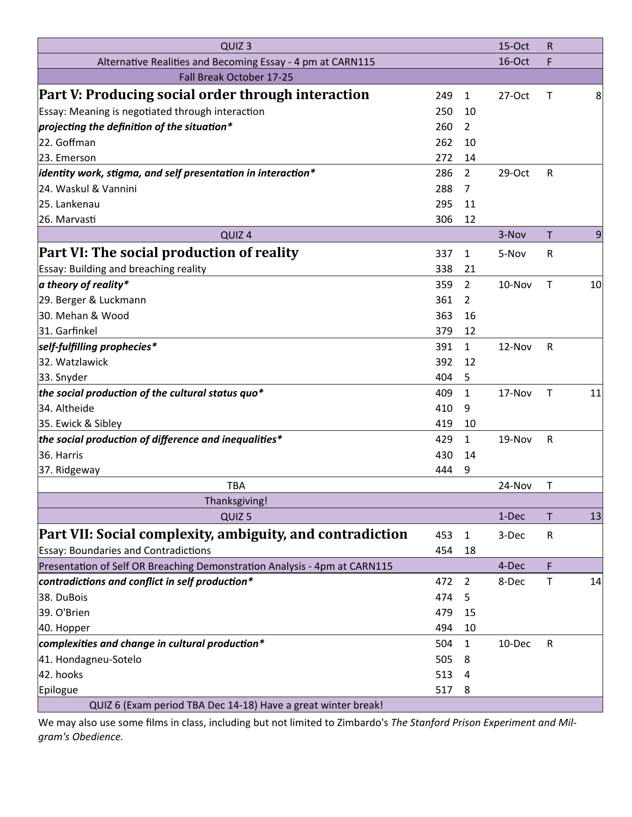| QUIZ <sub>3</sub>                                                         |     |                | 15-Oct   | $\mathsf R$  |    |
|---------------------------------------------------------------------------|-----|----------------|----------|--------------|----|
| Alternative Realities and Becoming Essay - 4 pm at CARN115                |     |                | 16-Oct   | F            |    |
| Fall Break October 17-25                                                  |     |                |          |              |    |
| Part V: Producing social order through interaction                        | 249 | $\mathbf{1}$   | $27-Oct$ | Т            | 8  |
| Essay: Meaning is negotiated through interaction                          | 250 | 10             |          |              |    |
| projecting the definition of the situation*                               | 260 | $\overline{2}$ |          |              |    |
| 22. Goffman                                                               | 262 | 10             |          |              |    |
| 23. Emerson                                                               | 272 | 14             |          |              |    |
| $ $ identity work, stigma, and self presentation in interaction ${}^*$    | 286 | $\overline{2}$ | 29-Oct   | R            |    |
| 24. Waskul & Vannini                                                      | 288 | $\overline{7}$ |          |              |    |
| 25. Lankenau                                                              | 295 | 11             |          |              |    |
| 26. Marvasti                                                              | 306 | 12             |          |              |    |
| QUIZ <sub>4</sub>                                                         |     |                | 3-Nov    | $\mathsf{T}$ | 9  |
| Part VI: The social production of reality                                 | 337 | $\mathbf{1}$   | 5-Nov    | R            |    |
| Essay: Building and breaching reality                                     | 338 | 21             |          |              |    |
| a theory of reality*                                                      | 359 | $\overline{2}$ | 10-Nov   | $\mathsf{T}$ | 10 |
| 29. Berger & Luckmann                                                     | 361 | $\overline{2}$ |          |              |    |
| 30. Mehan & Wood                                                          | 363 | 16             |          |              |    |
| 31. Garfinkel                                                             | 379 | 12             |          |              |    |
| self-fulfilling prophecies*                                               | 391 | $\mathbf{1}$   | 12-Nov   | $\mathsf{R}$ |    |
| 32. Watzlawick                                                            | 392 | 12             |          |              |    |
| 33. Snyder                                                                | 404 | 5              |          |              |    |
| the social production of the cultural status quo*                         | 409 | $\mathbf{1}$   | 17-Nov   | $\mathsf T$  | 11 |
| 34. Altheide                                                              | 410 | 9              |          |              |    |
| 35. Ewick & Sibley                                                        | 419 | 10             |          |              |    |
| the social production of difference and inequalities*                     | 429 | $\mathbf{1}$   | 19-Nov   | ${\sf R}$    |    |
| 36. Harris                                                                | 430 | 14             |          |              |    |
| 37. Ridgeway                                                              | 444 | 9              |          |              |    |
| <b>TBA</b>                                                                |     |                | 24-Nov   | $\mathsf T$  |    |
| Thanksgiving!                                                             |     |                |          |              |    |
| QUIZ <sub>5</sub>                                                         |     |                | 1-Dec    | Τ            | 13 |
| Part VII: Social complexity, ambiguity, and contradiction                 | 453 | $\mathbf{1}$   | 3-Dec    | $\mathsf{R}$ |    |
| <b>Essay: Boundaries and Contradictions</b>                               | 454 | 18             |          |              |    |
| Presentation of Self OR Breaching Demonstration Analysis - 4pm at CARN115 |     |                | 4-Dec    | F            |    |
| contradictions and conflict in self production*                           | 472 | $\overline{2}$ | 8-Dec    | $\mathsf T$  | 14 |
| 38. DuBois                                                                | 474 | 5              |          |              |    |
| 39. O'Brien                                                               | 479 | 15             |          |              |    |
| 40. Hopper                                                                | 494 | 10             |          |              |    |
| complexities and change in cultural production*                           | 504 | $\mathbf{1}$   | 10-Dec   | $\mathsf R$  |    |
| 41. Hondagneu-Sotelo                                                      | 505 | 8              |          |              |    |
| 42. hooks                                                                 | 513 | 4              |          |              |    |
| Epilogue                                                                  | 517 | 8              |          |              |    |
| QUIZ 6 (Exam period TBA Dec 14-18) Have a great winter break!             |     |                |          |              |    |

We may also use some films in class, including but not limited to Zimbardo's The Stanford Prison Experiment and Milgram's Obedience.